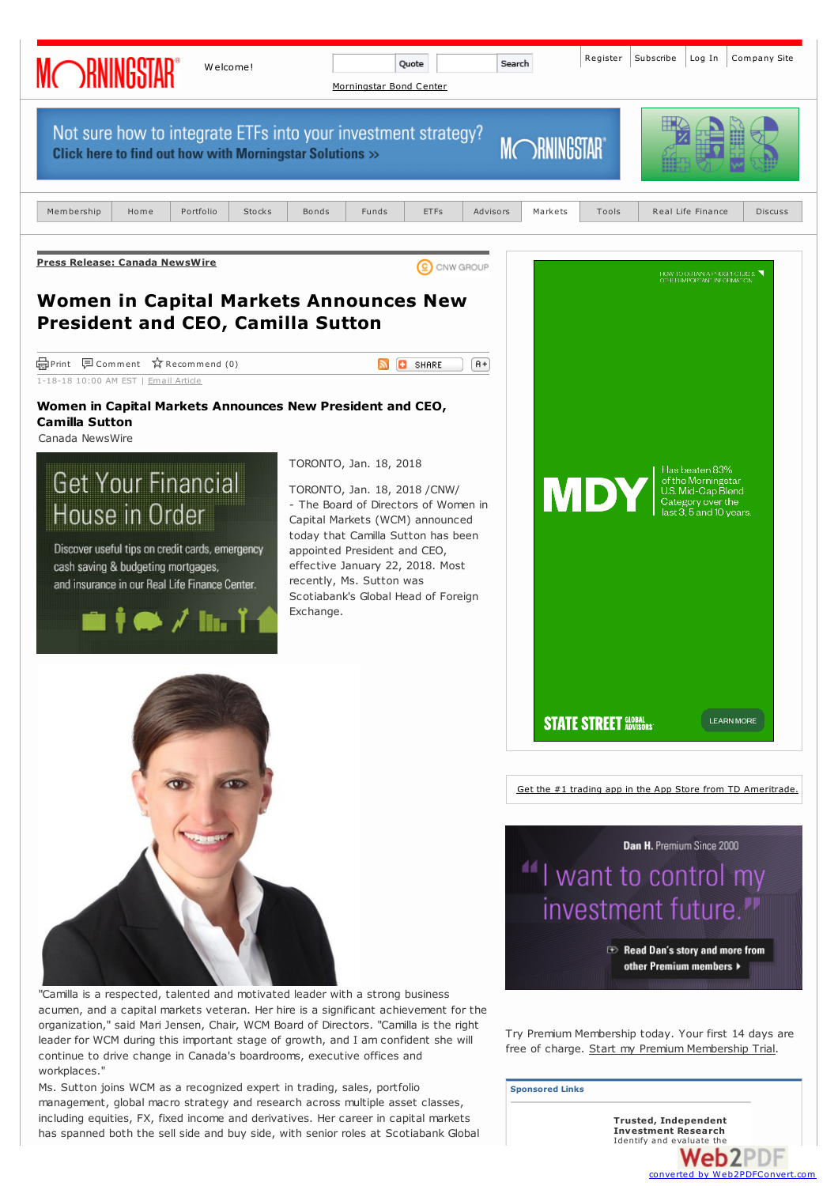

acumen, and a capital markets veteran. Her hire is a significant achievement for the organization," said Mari Jensen, Chair, WCM Board of Directors. "Camilla is the right leader for WCM during this important stage of growth, and I am confident she will continue to drive change in Canada's boardrooms, executive offices and workplaces."

Ms. Sutton joins WCM as a recognized expert in trading, sales, portfolio management, global macro strategy and research across multiple asset classes, including equities, FX, fixed income and derivatives. Her career in capital markets has spanned both the sell side and buy side, with senior roles at Scotiabank Global Try Premium Membership today. Your first 14 days are free of charge. Start my Premium [Membership](http://members.morningstar.com/memberstpages/premium.html?referid=OFUNDANAL) Trial.

**Sponsored Links**

**Trusted, [Independent](http://msmedia.morningstar.com/mstar/adclick/FCID=55171/site=ms.us/area=news/section=canada-news-wire/usrt=V/device=safari/pcountry=us/language=en/platform=web/random=8909130/viewid=8909130/size=sponsorlink/pos=SC1/relocate=https://members.morningstar.com/Register/Premium.aspx?referid=A3865&HID=IND_DIS032 ) Investment [Research](http://www.web2pdfconvert.com?ref=PDF)** Identify and evaluate the Web2PDF converted by Web2PDFConvert.com